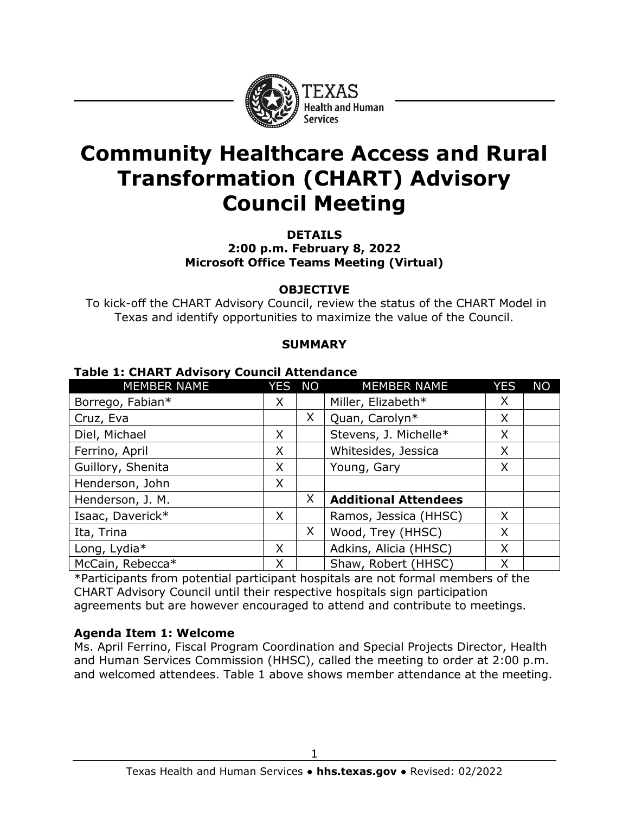

# **Community Healthcare Access and Rural Transformation (CHART) Advisory Council Meeting**

**DETAILS 2:00 p.m. February 8, 2022 Microsoft Office Teams Meeting (Virtual)**

#### **OBJECTIVE**

To kick-off the CHART Advisory Council, review the status of the CHART Model in Texas and identify opportunities to maximize the value of the Council.

#### **SUMMARY**

| <b>MEMBER NAME</b> | YES NO |   | <b>MEMBER NAME</b>          | <b>YES</b> | <b>NO</b> |
|--------------------|--------|---|-----------------------------|------------|-----------|
| Borrego, Fabian*   | X      |   | Miller, Elizabeth*          | X          |           |
| Cruz, Eva          |        | X | Quan, Carolyn*              | X          |           |
| Diel, Michael      | X      |   | Stevens, J. Michelle*       | X          |           |
| Ferrino, April     | X      |   | Whitesides, Jessica         | X          |           |
| Guillory, Shenita  | X      |   | Young, Gary                 | X          |           |
| Henderson, John    | X      |   |                             |            |           |
| Henderson, J. M.   |        | X | <b>Additional Attendees</b> |            |           |
| Isaac, Daverick*   | X      |   | Ramos, Jessica (HHSC)       | X          |           |
| Ita, Trina         |        | X | Wood, Trey (HHSC)           | X          |           |
| Long, Lydia*       | X      |   | Adkins, Alicia (HHSC)       | X          |           |
| McCain, Rebecca*   | X      |   | Shaw, Robert (HHSC)         | X          |           |

#### **Table 1: CHART Advisory Council Attendance**

\*Participants from potential participant hospitals are not formal members of the CHART Advisory Council until their respective hospitals sign participation agreements but are however encouraged to attend and contribute to meetings.

#### **Agenda Item 1: Welcome**

Ms. April Ferrino, Fiscal Program Coordination and Special Projects Director, Health and Human Services Commission (HHSC), called the meeting to order at 2:00 p.m. and welcomed attendees. Table 1 above shows member attendance at the meeting.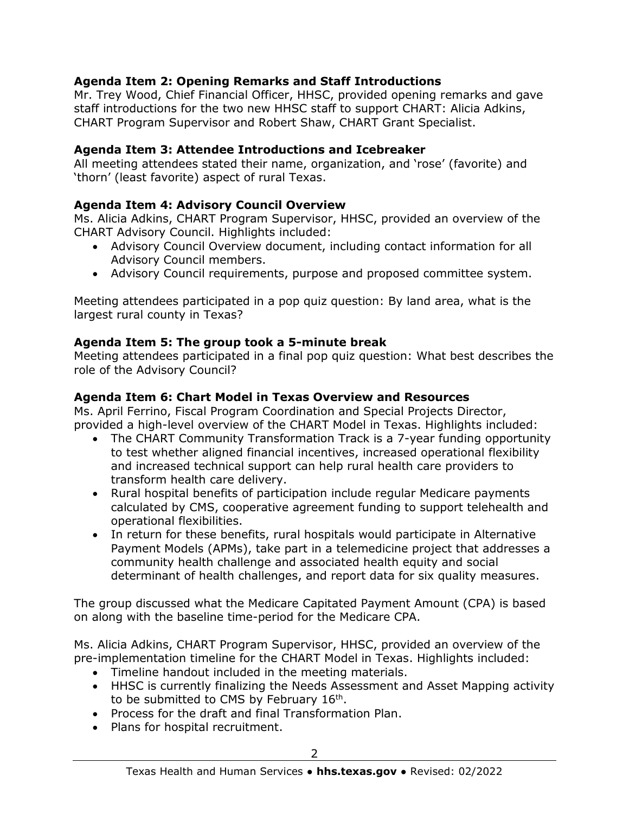## **Agenda Item 2: Opening Remarks and Staff Introductions**

Mr. Trey Wood, Chief Financial Officer, HHSC, provided opening remarks and gave staff introductions for the two new HHSC staff to support CHART: Alicia Adkins, CHART Program Supervisor and Robert Shaw, CHART Grant Specialist.

#### **Agenda Item 3: Attendee Introductions and Icebreaker**

All meeting attendees stated their name, organization, and 'rose' (favorite) and 'thorn' (least favorite) aspect of rural Texas.

## **Agenda Item 4: Advisory Council Overview**

Ms. Alicia Adkins, CHART Program Supervisor, HHSC, provided an overview of the CHART Advisory Council. Highlights included:

- Advisory Council Overview document, including contact information for all Advisory Council members.
- Advisory Council requirements, purpose and proposed committee system.

Meeting attendees participated in a pop quiz question: By land area, what is the largest rural county in Texas?

## **Agenda Item 5: The group took a 5-minute break**

Meeting attendees participated in a final pop quiz question: What best describes the role of the Advisory Council?

## **Agenda Item 6: Chart Model in Texas Overview and Resources**

Ms. April Ferrino, Fiscal Program Coordination and Special Projects Director, provided a high-level overview of the CHART Model in Texas. Highlights included:

- The CHART Community Transformation Track is a 7-year funding opportunity to test whether aligned financial incentives, increased operational flexibility and increased technical support can help rural health care providers to transform health care delivery.
- Rural hospital benefits of participation include regular Medicare payments calculated by CMS, cooperative agreement funding to support telehealth and operational flexibilities.
- In return for these benefits, rural hospitals would participate in Alternative Payment Models (APMs), take part in a telemedicine project that addresses a community health challenge and associated health equity and social determinant of health challenges, and report data for six quality measures.

The group discussed what the Medicare Capitated Payment Amount (CPA) is based on along with the baseline time-period for the Medicare CPA.

Ms. Alicia Adkins, CHART Program Supervisor, HHSC, provided an overview of the pre-implementation timeline for the CHART Model in Texas. Highlights included:

- Timeline handout included in the meeting materials.
- HHSC is currently finalizing the Needs Assessment and Asset Mapping activity to be submitted to CMS by February  $16<sup>th</sup>$ .
- Process for the draft and final Transformation Plan.
- Plans for hospital recruitment.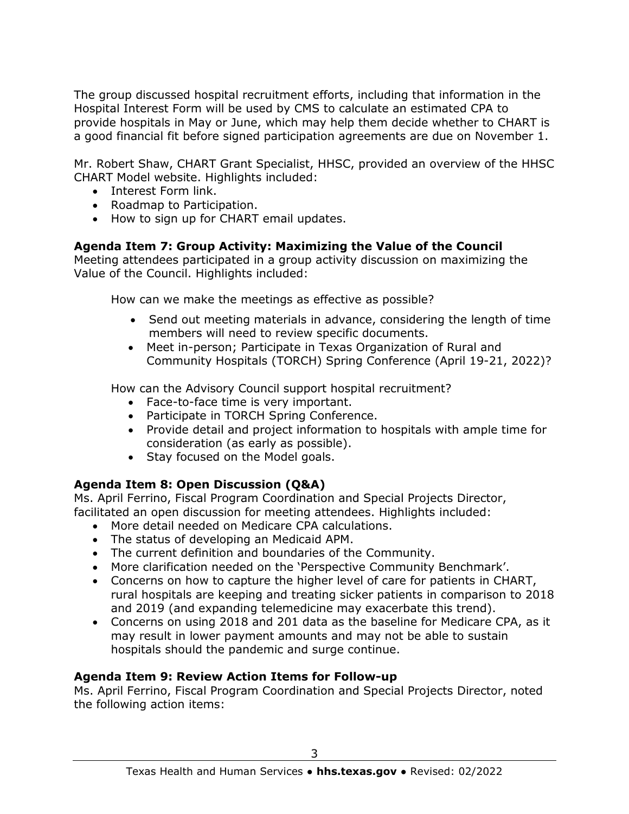The group discussed hospital recruitment efforts, including that information in the Hospital Interest Form will be used by CMS to calculate an estimated CPA to provide hospitals in May or June, which may help them decide whether to CHART is a good financial fit before signed participation agreements are due on November 1.

Mr. Robert Shaw, CHART Grant Specialist, HHSC, provided an overview of the HHSC CHART Model website. Highlights included:

- Interest Form link.
- Roadmap to Participation.
- How to sign up for CHART email updates.

## **Agenda Item 7: Group Activity: Maximizing the Value of the Council**

Meeting attendees participated in a group activity discussion on maximizing the Value of the Council. Highlights included:

How can we make the meetings as effective as possible?

- Send out meeting materials in advance, considering the length of time members will need to review specific documents.
- Meet in-person; Participate in Texas Organization of Rural and Community Hospitals (TORCH) Spring Conference (April 19-21, 2022)?

How can the Advisory Council support hospital recruitment?

- Face-to-face time is very important.
- Participate in TORCH Spring Conference.
- Provide detail and project information to hospitals with ample time for consideration (as early as possible).
- Stay focused on the Model goals.

## **Agenda Item 8: Open Discussion (Q&A)**

Ms. April Ferrino, Fiscal Program Coordination and Special Projects Director, facilitated an open discussion for meeting attendees. Highlights included:

- More detail needed on Medicare CPA calculations.
- The status of developing an Medicaid APM.
- The current definition and boundaries of the Community.
- More clarification needed on the 'Perspective Community Benchmark'.
- Concerns on how to capture the higher level of care for patients in CHART, rural hospitals are keeping and treating sicker patients in comparison to 2018 and 2019 (and expanding telemedicine may exacerbate this trend).
- Concerns on using 2018 and 201 data as the baseline for Medicare CPA, as it may result in lower payment amounts and may not be able to sustain hospitals should the pandemic and surge continue.

## **Agenda Item 9: Review Action Items for Follow-up**

Ms. April Ferrino, Fiscal Program Coordination and Special Projects Director, noted the following action items: